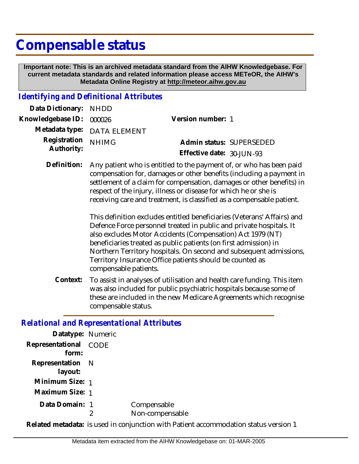# **Compensable status**

 **Important note: This is an archived metadata standard from the AIHW Knowledgebase. For current metadata standards and related information please access METeOR, the AIHW's Metadata Online Registry at http://meteor.aihw.gov.au**

#### *Identifying and Definitional Attributes*

| Data Dictionary: NHDD    |                             |                           |  |
|--------------------------|-----------------------------|---------------------------|--|
| Knowledgebase ID: 000026 |                             | Version number: 1         |  |
|                          | Metadata type: DATA ELEMENT |                           |  |
| Registration NHIMG       |                             | Admin status: SUPERSEDED  |  |
| Authority:               |                             | Effective date: 30-JUN-93 |  |
|                          |                             |                           |  |

Definition: Any patient who is entitled to the payment of, or who has been paid compensation for, damages or other benefits (including a payment in settlement of a claim for compensation, damages or other benefits) in respect of the injury, illness or disease for which he or she is receiving care and treatment, is classified as a compensable patient.

> This definition excludes entitled beneficiaries (Veterans' Affairs) and Defence Force personnel treated in public and private hospitals. It also excludes Motor Accidents (Compensation) Act 1979 (NT) beneficiaries treated as public patients (on first admission) in Northern Territory hospitals. On second and subsequent admissions, Territory Insurance Office patients should be counted as compensable patients.

To assist in analyses of utilisation and health care funding. This item was also included for public psychiatric hospitals because some of these are included in the new Medicare Agreements which recognise compensable status. **Context:**

## *Relational and Representational Attributes*

| Datatype: Numeric              |                                |
|--------------------------------|--------------------------------|
| Representational CODE<br>form: |                                |
| Representation N<br>layout:    |                                |
| Minimum Size: 1                |                                |
| Maximum Size: 1                |                                |
| Data Domain: 1                 | Compensable<br>Non-compensable |

**Related metadata:** is used in conjunction with Patient accommodation status version 1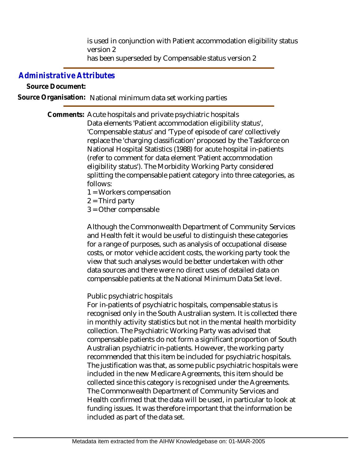is used in conjunction with Patient accommodation eligibility status version 2 has been superseded by Compensable status version 2

# *Administrative Attributes*

### **Source Document:**

**Source Organisation:** National minimum data set working parties

Comments: Acute hospitals and private psychiatric hospitals Data elements 'Patient accommodation eligibility status', 'Compensable status' and 'Type of episode of care' collectively replace the 'charging classification' proposed by the Taskforce on National Hospital Statistics (1988) for acute hospital in-patients (refer to comment for data element 'Patient accommodation eligibility status'). The Morbidity Working Party considered splitting the compensable patient category into three categories, as follows:

- 1 = Workers compensation
- $2 =$ Third party
- 3 = Other compensable

Although the Commonwealth Department of Community Services and Health felt it would be useful to distinguish these categories for a range of purposes, such as analysis of occupational disease costs, or motor vehicle accident costs, the working party took the view that such analyses would be better undertaken with other data sources and there were no direct uses of detailed data on compensable patients at the National Minimum Data Set level.

## Public psychiatric hospitals

For in-patients of psychiatric hospitals, compensable status is recognised only in the South Australian system. It is collected there in monthly activity statistics but not in the mental health morbidity collection. The Psychiatric Working Party was advised that compensable patients do not form a significant proportion of South Australian psychiatric in-patients. However, the working party recommended that this item be included for psychiatric hospitals. The justification was that, as some public psychiatric hospitals were included in the new Medicare Agreements, this item should be collected since this category is recognised under the Agreements. The Commonwealth Department of Community Services and Health confirmed that the data will be used, in particular to look at funding issues. It was therefore important that the information be included as part of the data set.